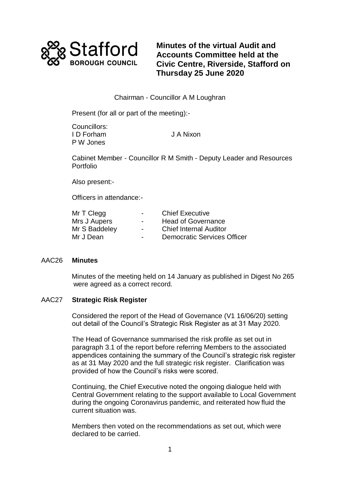

**Minutes of the virtual Audit and Accounts Committee held at the Civic Centre, Riverside, Stafford on Thursday 25 June 2020**

# Chairman - Councillor A M Loughran

Present (for all or part of the meeting):-

Councillors: I D Forham J A Nixon P W Jones

Cabinet Member - Councillor R M Smith - Deputy Leader and Resources Portfolio

Also present:-

Officers in attendance:-

| Mr T Clegg    | $\sim$         | <b>Chief Executive</b>             |
|---------------|----------------|------------------------------------|
| Mrs J Aupers  | $\blacksquare$ | <b>Head of Governance</b>          |
| Mr S Baddeley | $\blacksquare$ | <b>Chief Internal Auditor</b>      |
| Mr J Dean     | $\blacksquare$ | <b>Democratic Services Officer</b> |

## AAC26 **Minutes**

Minutes of the meeting held on 14 January as published in Digest No 265 were agreed as a correct record.

## AAC27 **Strategic Risk Register**

Considered the report of the Head of Governance (V1 16/06/20) setting out detail of the Council's Strategic Risk Register as at 31 May 2020.

The Head of Governance summarised the risk profile as set out in paragraph 3.1 of the report before referring Members to the associated appendices containing the summary of the Council's strategic risk register as at 31 May 2020 and the full strategic risk register. Clarification was provided of how the Council's risks were scored.

Continuing, the Chief Executive noted the ongoing dialogue held with Central Government relating to the support available to Local Government during the ongoing Coronavirus pandemic, and reiterated how fluid the current situation was.

Members then voted on the recommendations as set out, which were declared to be carried.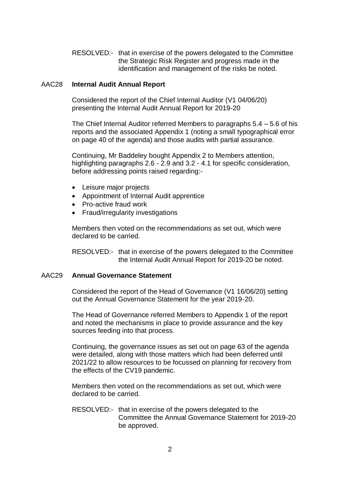RESOLVED:- that in exercise of the powers delegated to the Committee the Strategic Risk Register and progress made in the identification and management of the risks be noted.

#### AAC28 **Internal Audit Annual Report**

Considered the report of the Chief Internal Auditor (V1 04/06/20) presenting the Internal Audit Annual Report for 2019-20

The Chief Internal Auditor referred Members to paragraphs 5.4 – 5.6 of his reports and the associated Appendix 1 (noting a small typographical error on page 40 of the agenda) and those audits with partial assurance.

Continuing, Mr Baddeley bought Appendix 2 to Members attention, highlighting paragraphs 2.6 - 2.9 and 3.2 - 4.1 for specific consideration, before addressing points raised regarding:-

- Leisure major projects
- Appointment of Internal Audit apprentice
- Pro-active fraud work
- Fraud/irregularity investigations

Members then voted on the recommendations as set out, which were declared to be carried.

RESOLVED:- that in exercise of the powers delegated to the Committee the Internal Audit Annual Report for 2019-20 be noted.

#### AAC29 **Annual Governance Statement**

Considered the report of the Head of Governance (V1 16/06/20) setting out the Annual Governance Statement for the year 2019-20.

The Head of Governance referred Members to Appendix 1 of the report and noted the mechanisms in place to provide assurance and the key sources feeding into that process.

Continuing, the governance issues as set out on page 63 of the agenda were detailed, along with those matters which had been deferred until 2021/22 to allow resources to be focussed on planning for recovery from the effects of the CV19 pandemic.

Members then voted on the recommendations as set out, which were declared to be carried.

RESOLVED:- that in exercise of the powers delegated to the Committee the Annual Governance Statement for 2019-20 be approved.